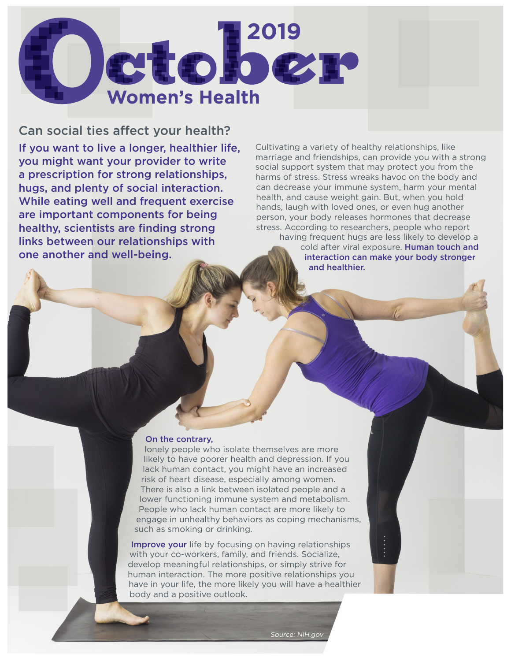

Can social ties affect your health? If you want to live a longer, healthier life, you might want your provider to write a prescription for strong relationships, hugs, and plenty of social interaction. While eating well and frequent exercise are important components for being healthy, scientists are finding strong links between our relationships with one another and well-being.

Cultivating a variety of healthy relationships, like marriage and friendships, can provide you with a strong social support system that may protect you from the harms of stress. Stress wreaks havoc on the body and can decrease your immune system, harm your mental health, and cause weight gain. But, when you hold hands, laugh with loved ones, or even hug another person, your body releases hormones that decrease stress. According to researchers, people who report having frequent hugs are less likely to develop a cold after viral exposure. Human touch and interaction can make your body stronger

and healthier.

## On the contrary,

lonely people who isolate themselves are more likely to have poorer health and depression. If you lack human contact, you might have an increased risk of heart disease, especially among women. There is also a link between isolated people and a lower functioning immune system and metabolism. People who lack human contact are more likely to engage in unhealthy behaviors as coping mechanisms, such as smoking or drinking.

Improve your life by focusing on having relationships with your co-workers, family, and friends. Socialize, develop meaningful relationships, or simply strive for human interaction. The more positive relationships you have in your life, the more likely you will have a healthier body and a positive outlook.

Source: NIH.gov